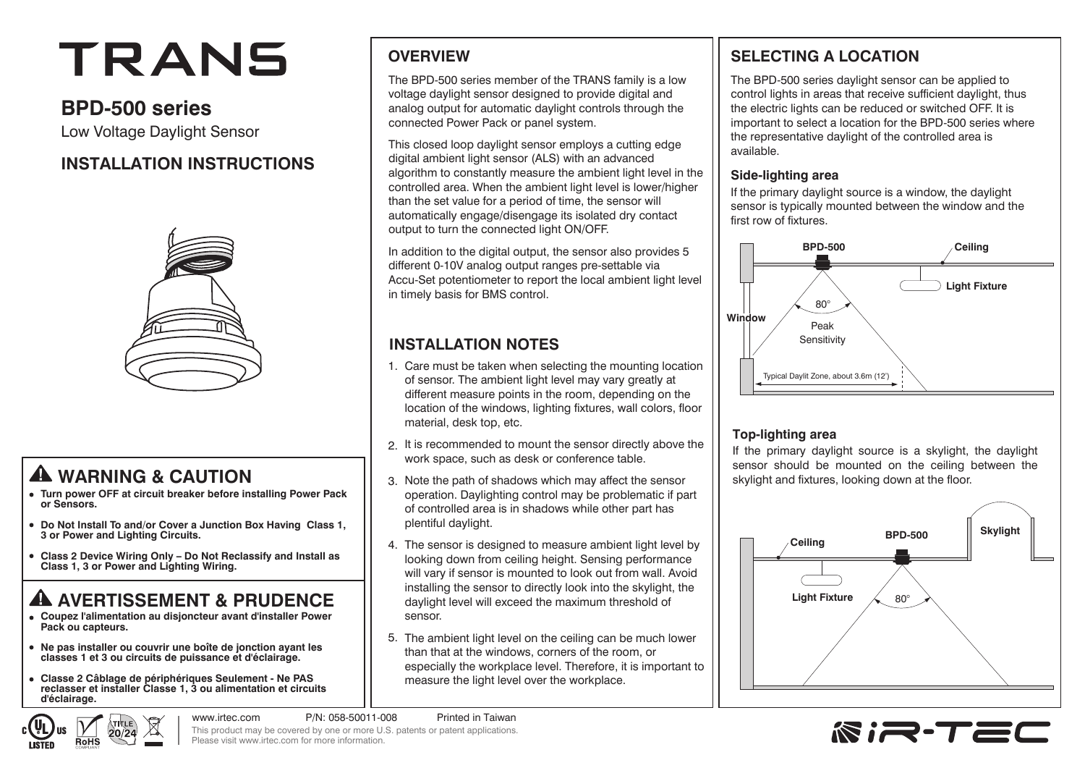# TRANS

# **BPD-500 series**

Low Voltage Daylight Sensor

# **INSTALLATION INSTRUCTIONS**



# **WARNING & CAUTION**

- **Turn power OFF at circuit breaker before installing Power Pack or Sensors.**
- **Do Not Install To and/or Cover a Junction Box Having Class 1, 3 or Power and Lighting Circuits.**
- **Class 2 Device Wiring Only Do Not Reclassify and Install as Class 1, 3 or Power and Lighting Wiring.**

# **A AVERTISSEMENT & PRUDENCE**

- **Coupez l'alimentation au disjoncteur avant d'installer Power Pack ou capteurs.**
- **Ne pas installer ou couvrir une boîte de jonction ayant les classes 1 et 3 ou circuits de puissance et d'éclairage.**
- **Classe 2 Câblage de périphériques Seulement Ne PAS reclasser et installer Classe 1, 3 ou alimentation et circuits d'éclairage.**

# **OVERVIEW**

The BPD-500 series member of the TRANS family is a low voltage daylight sensor designed to provide digital and analog output for automatic daylight controls through the connected Power Pack or panel system.

This closed loop daylight sensor employs a cutting edge digital ambient light sensor (ALS) with an advanced algorithm to constantly measure the ambient light level in the controlled area. When the ambient light level is lower/higher than the set value for a period of time, the sensor will automatically engage/disengage its isolated dry contact output to turn the connected light ON/OFF.

In addition to the digital output, the sensor also provides 5 different 0-10V analog output ranges pre-settable via Accu-Set potentiometer to report the local ambient light level in timely basis for BMS control.

# **INSTALLATION NOTES**

- Care must be taken when selecting the mounting location 1. of sensor. The ambient light level may vary greatly at different measure points in the room, depending on the location of the windows, lighting fixtures, wall colors, floor material, desk top, etc.
- 2. It is recommended to mount the sensor directly above the work space, such as desk or conference table.
- 3. Note the path of shadows which may affect the sensor operation. Daylighting control may be problematic if part of controlled area is in shadows while other part has plentiful daylight.
- The sensor is designed to measure ambient light level by 4. looking down from ceiling height. Sensing performance will vary if sensor is mounted to look out from wall. Avoid installing the sensor to directly look into the skylight, the daylight level will exceed the maximum threshold of sensor.
- 5. The ambient light level on the ceiling can be much lower than that at the windows, corners of the room, or especially the workplace level. Therefore, it is important to measure the light level over the workplace.

# **SELECTING A LOCATION**

The BPD-500 series daylight sensor can be applied to control lights in areas that receive sufficient daylight, thus the electric lights can be reduced or switched OFF. It is important to select a location for the BPD-500 series where the representative daylight of the controlled area is available.

#### **Side-lighting area**

If the primary daylight source is a window, the daylight sensor is typically mounted between the window and the first row of fixtures.



#### **Top-lighting area**

If the primary daylight source is a skylight, the daylight sensor should be mounted on the ceiling between the skylight and fixtures, looking down at the floor.





www.irtec.com P/N: 058-50011-008 Printed in Taiwan This product may be covered by one or more U.S. patents or patent applications. Please visit www.irtec.com for more information.

**RIR-TEC**